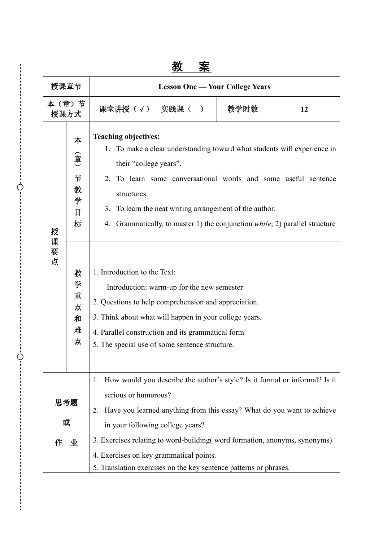| 授课章节               |                                  | <b>Lesson One — Your College Years</b>                                                                                                                                                                                                                                                                                                                                                 |      |    |  |  |
|--------------------|----------------------------------|----------------------------------------------------------------------------------------------------------------------------------------------------------------------------------------------------------------------------------------------------------------------------------------------------------------------------------------------------------------------------------------|------|----|--|--|
| 本 (章) 节<br>授课方式    |                                  | 课堂讲授(√) 实践课(<br>$\rightarrow$                                                                                                                                                                                                                                                                                                                                                          | 教学时数 | 12 |  |  |
| 授                  | 本<br>(章<br>节<br>教<br>学<br>目<br>标 | <b>Teaching objectives:</b><br>1. To make a clear understanding toward what students will experience in<br>their "college years".<br>2 <sub>1</sub><br>To learn some conversational words and some useful sentence<br>structures.<br>3. To learn the neat writing arrangement of the author.<br>Grammatically, to master 1) the conjunction <i>while</i> ; 2) parallel structure<br>4. |      |    |  |  |
| 课要点                | 教<br>学<br>重<br>点<br>和<br>难<br>点  | 1. Introduction to the Text:<br>Introduction: warm-up for the new semester<br>2. Questions to help comprehension and appreciation.<br>3. Think about what will happen in your college years.<br>4. Parallel construction and its grammatical form<br>5. The special use of some sentence structure.                                                                                    |      |    |  |  |
| 思考题<br>或<br>作<br>业 |                                  | How would you describe the author's style? Is it formal or informal? Is it<br>1.<br>serious or humorous?<br>Have you learned anything from this essay? What do you want to achieve<br>2.<br>in your following college years?<br>3. Exercises relating to word-building (word formation, anonyms, synonyms)                                                                             |      |    |  |  |
|                    |                                  | 4. Exercises on key grammatical points.<br>5. Translation exercises on the key sentence patterns or phrases.                                                                                                                                                                                                                                                                           |      |    |  |  |

Ċ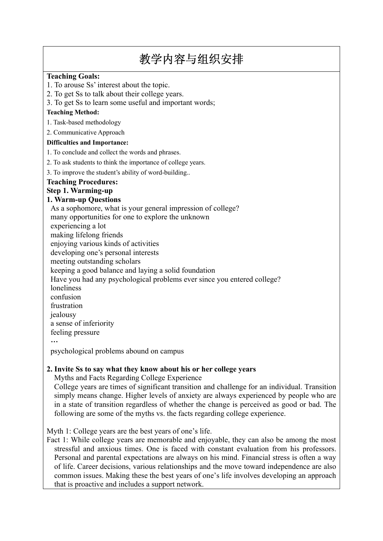# 教学内容与组织安排

#### **Teaching Goals:**

- 1. To arouse Ss' interest about the topic.
- 2. To get Ss to talk about their college years.
- 3. To get Ss to learn some useful and important words;

#### **Teaching Method:**

- 1. Task-based methodology
- 2. Communicative Approach

#### **Difficulties and Importance:**

- 1. To conclude and collect the words and phrases.
- 2. To ask students to think the importance of college years.
- 3. To improve the student's ability of word-building..

#### **Teaching Procedures:**

## **Step 1. Warming-up**

#### **1. Warm-up Questions**

As a sophomore, what is your general impression of college?

many opportunities for one to explore the unknown

- experiencing a lot
- making lifelong friends
- enjoying various kinds of activities

developing one's personal interests

meeting outstanding scholars

keeping a good balance and laying a solid foundation

- Have you had any psychological problems ever since you entered college?
- loneliness
- confusion
- frustration
- iealousy

a sense of inferiority

feeling pressure

…

psychological problems abound on campus

### **2. Invite Ss to say what they know about his or her college years**

Myths and Facts Regarding College Experience

College years are times of significant transition and challenge for an individual. Transition simply means change. Higher levels of anxiety are always experienced by people who are in a state of transition regardless of whether the change is perceived as good or bad. The following are some of the myths vs. the facts regarding college experience.

Myth 1: College years are the best years of one's life.

Fact 1: While college years are memorable and enjoyable, they can also be among the most stressful and anxious times. One is faced with constant evaluation from his professors. Personal and parental expectations are always on his mind. Financial stress is often a way of life. Career decisions, various relationships and the move toward independence are also common issues. Making these the best years of one's life involves developing an approach that is proactive and includes a support network.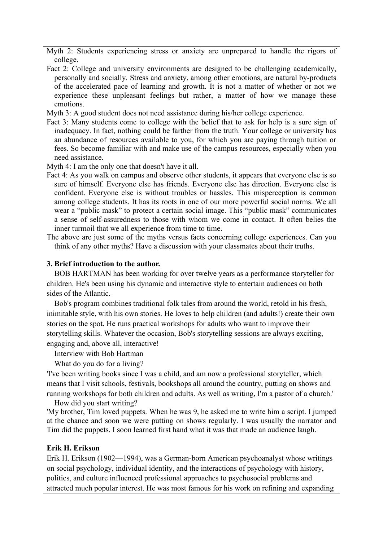Myth 2: Students experiencing stress or anxiety are unprepared to handle the rigors of college.

Fact 2: College and university environments are designed to be challenging academically, personally and socially. Stress and anxiety, among other emotions, are natural by-products of the accelerated pace of learning and growth. It is not a matter of whether or not we experience these unpleasant feelings but rather, a matter of how we manage these emotions.

Myth 3: A good student does not need assistance during his/her college experience.

Fact 3: Many students come to college with the belief that to ask for help is a sure sign of inadequacy. In fact, nothing could be farther from the truth. Your college or university has an abundance of resources available to you, for which you are paying through tuition or fees. So become familiar with and make use of the campus resources, especially when you need assistance.

Myth 4: I am the only one that doesn't have it all.

- Fact 4: As you walk on campus and observe other students, it appears that everyone else is so sure of himself. Everyone else has friends. Everyone else has direction. Everyone else is confident. Everyone else is without troubles or hassles. This misperception is common among college students. It has its roots in one of our more powerful social norms. We all wear a "public mask" to protect a certain social image. This "public mask" communicates a sense of self-assuredness to those with whom we come in contact. It often belies the inner turmoil that we all experience from time to time.
- The above are just some of the myths versus facts concerning college experiences. Can you think of any other myths? Have a discussion with your classmates about their truths.

## **3. Brief introduction to the author.**

BOB HARTMAN has been working for over twelve years as a performance storyteller for children. He's been using his dynamic and interactive style to entertain audiences on both sides of the Atlantic.

Bob's program combines traditional folk tales from around the world, retold in his fresh, inimitable style, with his own stories. He loves to help children (and adults!) create their own stories on the spot. He runs practical workshops for adults who want to improve their storytelling skills. Whatever the occasion, Bob's storytelling sessions are always exciting, engaging and, above all, interactive!

Interview with Bob Hartman

What do you do for a living?

'I've been writing books since I was a child, and am now a professional storyteller, which means that I visit schools, festivals, bookshops all around the country, putting on shows and running workshops for both children and adults. As well as writing, I'm a pastor of a church.'

How did you start writing?

'My brother, Tim loved puppets. When he was 9, he asked me to write him a script. I jumped at the chance and soon we were putting on shows regularly. I was usually the narrator and Tim did the puppets. I soon learned first hand what it was that made an audience laugh.

## **Erik H. Erikson**

Erik H. Erikson (1902—1994), was a German-born American psychoanalyst whose writings on social psychology, individual identity, and the interactions of psychology with history, politics, and culture influenced professional approaches to psychosocial problems and attracted much popular interest. He was most famous for his work on refining and expanding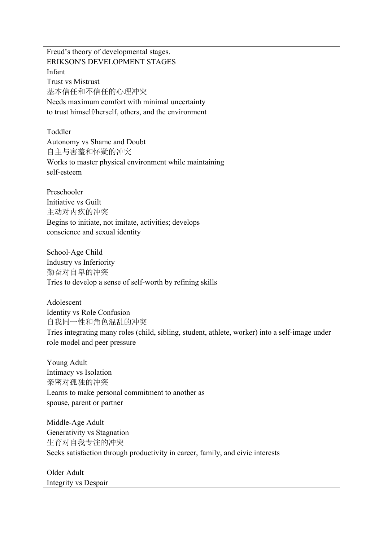Freud's theory of developmental stages. ERIKSON'S DEVELOPMENT STAGES Infant Trust vs Mistrust 基本信任和不信任的心理冲突 Needs maximum comfort with minimal uncertainty to trust himself/herself, others, and the environment Toddler Autonomy vs Shame and Doubt 自主与害羞和怀疑的冲突 Works to master physical environment while maintaining self-esteem Preschooler Initiative vs Guilt 主动对内疚的冲突 Begins to initiate, not imitate, activities; develops conscience and sexual identity School-Age Child Industry vs Inferiority 勤奋对自卑的冲突 Tries to develop a sense of self-worth by refining skills Adolescent Identity vs Role Confusion 自我同一性和角色混乱的冲突 Tries integrating many roles (child, sibling, student, athlete, worker) into a self-image under role model and peer pressure Young Adult Intimacy vs Isolation 亲密对孤独的冲突 Learns to make personal commitment to another as spouse, parent or partner Middle-Age Adult Generativity vs Stagnation 生育对自我专注的冲突 Seeks satisfaction through productivity in career, family, and civic interests

Older Adult Integrity vs Despair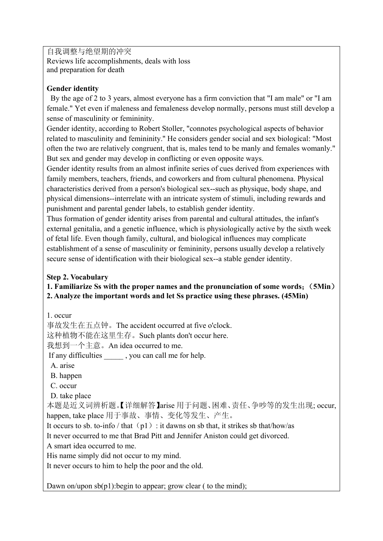自我调整与绝望期的冲突 Reviews life accomplishments, deals with loss and preparation for death

## **Gender identity**

 By the age of 2 to 3 years, almost everyone has a firm conviction that "I am male" or "I am female." Yet even if maleness and femaleness develop normally, persons must still develop a sense of masculinity or femininity.

Gender identity, according to Robert Stoller, "connotes psychological aspects of behavior related to masculinity and femininity.'' He considers gender social and sex biological: "Most often the two are relatively congruent, that is, males tend to be manly and females womanly." But sex and gender may develop in conflicting or even opposite ways.

Gender identity results from an almost infinite series of cues derived from experiences with family members, teachers, friends, and coworkers and from cultural phenomena. Physical characteristics derived from a person's biological sex--such as physique, body shape, and physical dimensions--interrelate with an intricate system of stimuli, including rewards and punishment and parental gender labels, to establish gender identity.

Thus formation of gender identity arises from parental and cultural attitudes, the infant's external genitalia, and a genetic influence, which is physiologically active by the sixth week of fetal life. Even though family, cultural, and biological influences may complicate establishment of a sense of masculinity or femininity, persons usually develop a relatively secure sense of identification with their biological sex--a stable gender identity.

## **Step 2. Vocabulary**

**1. Familiarize Ss with the proper names and the pronunciation of some words**;(**5Min**) **2. Analyze the important words and let Ss practice using these phrases. (45Min)**

1. occur

事故发生在五点钟。The accident occurred at five o'clock.

这种植物不能在这里生存。Such plants don't occur here.

我想到一个主意。An idea occurred to me.

If any difficulties , you can call me for help.

- A. arise
- B. happen
- C. occur
- D. take place

本题是近义词辨析题。【详细解答】arise 用于问题、困难、责任、争吵等的发生出现; occur, happen, take place 用于事故、事情、变化等发生、产生。

It occurs to sb. to-info / that  $(p1)$ : it dawns on sb that, it strikes sb that/how/as

It never occurred to me that Brad Pitt and Jennifer Aniston could get divorced.

A smart idea occurred to me.

His name simply did not occur to my mind.

It never occurs to him to help the poor and the old.

Dawn on/upon  $sb(p1)$ : begin to appear; grow clear ( to the mind);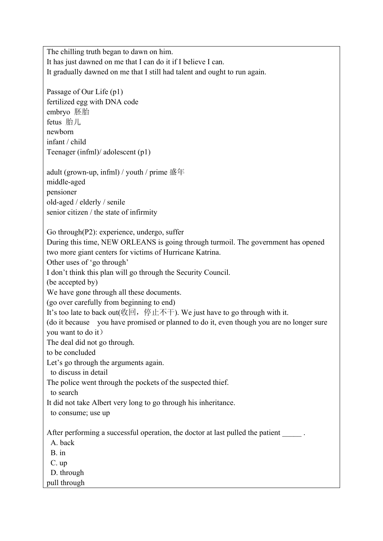The chilling truth began to dawn on him. It has just dawned on me that I can do it if I believe I can. It gradually dawned on me that I still had talent and ought to run again. Passage of Our Life (p1) fertilized egg with DNA code embryo 胚胎 fetus 胎儿 newborn infant / child Teenager (infml)/ adolescent (p1) adult (grown-up, infml) / youth / prime 盛年 middle-aged pensioner old-aged / elderly / senile senior citizen / the state of infirmity Go through(P2): experience, undergo, suffer During this time, NEW ORLEANS is going through turmoil. The government has opened two more giant centers for victims of Hurricane Katrina. Other uses of 'go through' I don't think this plan will go through the Security Council. (be accepted by) We have gone through all these documents. (go over carefully from beginning to end) It's too late to back out  $(\mathcal{U}\boxtimes, \mathcal{F})$ . We just have to go through with it. (do it because you have promised or planned to do it, even though you are no longer sure you want to do it) The deal did not go through. to be concluded Let's go through the arguments again. to discuss in detail The police went through the pockets of the suspected thief. to search It did not take Albert very long to go through his inheritance. to consume; use up After performing a successful operation, the doctor at last pulled the patient A. back B. in C. up D. through pull through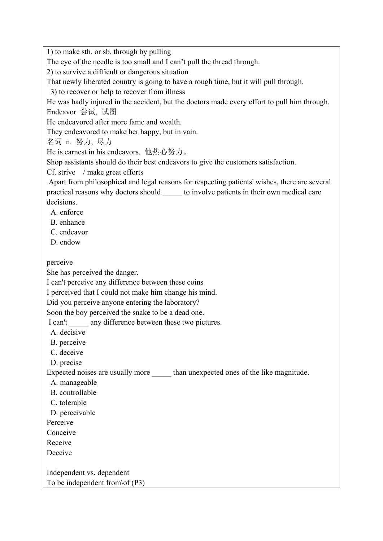1) to make sth. or sb. through by pulling

The eye of the needle is too small and I can't pull the thread through.

2) to survive a difficult or dangerous situation

That newly liberated country is going to have a rough time, but it will pull through.

3) to recover or help to recover from illness

He was badly injured in the accident, but the doctors made every effort to pull him through. Endeavor 尝试, 试图

He endeavored after more fame and wealth.

They endeavored to make her happy, but in vain.

名词 n. 努力, 尽力

He is earnest in his endeavors. 他热心努力。

Shop assistants should do their best endeavors to give the customers satisfaction.

Cf. strive / make great efforts

Apart from philosophical and legal reasons for respecting patients' wishes, there are several practical reasons why doctors should \_\_\_\_\_ to involve patients in their own medical care decisions.

A. enforce

- B. enhance
- C. endeavor
- D. endow

perceive

She has perceived the danger.

I can't perceive any difference between these coins

I perceived that I could not make him change his mind.

Did you perceive anyone entering the laboratory?

Soon the boy perceived the snake to be a dead one.

I can't any difference between these two pictures.

A. decisive

- B. perceive
- C. deceive
- D. precise

Expected noises are usually more \_\_\_\_\_ than unexpected ones of the like magnitude.

- A. manageable
- B. controllable
- C. tolerable
- D. perceivable
- Perceive
- Conceive
- Receive

Deceive

Independent vs. dependent To be independent from\of (P3)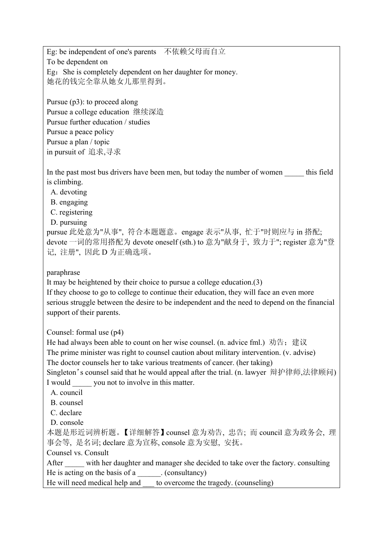Eg: be independent of one's parents 不依赖父母而自立 To be dependent on Eg: She is completely dependent on her daughter for money. 她花的钱完全靠从她女儿那里得到。

Pursue (p3): to proceed along Pursue a college education 继续深造 Pursue further education / studies Pursue a peace policy Pursue a plan / topic in pursuit of 追求,寻求

In the past most bus drivers have been men, but today the number of women this field is climbing.

A. devoting

B. engaging

C. registering

D. pursuing

pursue 此处意为"从事", 符合本题题意。engage 表示"从事, 忙于"时则应与 in 搭配; devote 一词的常用搭配为 devote oneself (sth.) to 意为"献身于, 致力于"; register 意为"登 记, 注册", 因此 D 为正确选项。

paraphrase

It may be heightened by their choice to pursue a college education.(3)

If they choose to go to college to continue their education, they will face an even more serious struggle between the desire to be independent and the need to depend on the financial support of their parents.

Counsel: formal use (p4)

He had always been able to count on her wise counsel. (n. advice fml.) 劝告; 建议 The prime minister was right to counsel caution about military intervention. (v. advise) The doctor counsels her to take various treatments of cancer. (her taking) Singleton's counsel said that he would appeal after the trial. (n. lawyer 辩护律师,法律顾问)

I would you not to involve in this matter.

A. council

B. counsel

C. declare

D. console

本题是形近词辨析题。【详细解答】counsel 意为劝告, 忠告; 而 council 意为政务会, 理 事会等, 是名词; declare 意为宣称, console 意为安慰, 安抚。

Counsel vs. Consult

After with her daughter and manager she decided to take over the factory. consulting He is acting on the basis of a \_\_\_\_\_\_\_. (consultancy)

He will need medical help and to overcome the tragedy. (counseling)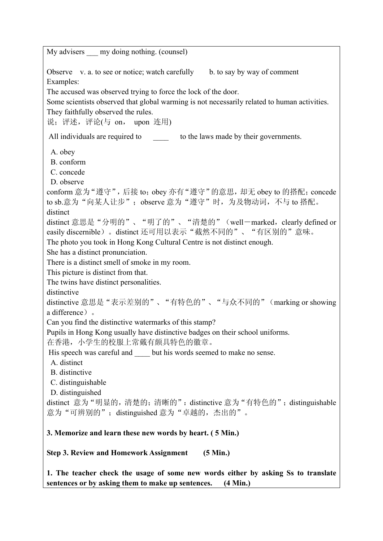My advisers — my doing nothing. (counsel) Observe v. a. to see or notice; watch carefully b. to say by way of comment Examples: The accused was observed trying to force the lock of the door. Some scientists observed that global warming is not necessarily related to human activities. They faithfully observed the rules. 说;评述,评论(与 on, upon 连用) All individuals are required to the laws made by their governments. A. obey B. conform C. concede D. observe conform 意为"遵守",后接 to; obey 亦有"遵守"的意思, 却无 obey to 的搭配; concede to sb.意为"向某人让步"; observe 意为"遵守"时, 为及物动词, 不与 to 搭配。 distinct distinct 意思是"分明的"、"明了的"、"清楚的"(well-marked, clearly defined or easily discernible)。distinct 还可用以表示"截然不同的"、"有区别的"意味。 The photo you took in Hong Kong Cultural Centre is not distinct enough. She has a distinct pronunciation. There is a distinct smell of smoke in my room. This picture is distinct from that. The twins have distinct personalities. distinctive distinctive 意思是"表示差别的"、"有特色的"、"与众不同的"(marking or showing a difference)。 Can you find the distinctive watermarks of this stamp? Pupils in Hong Kong usually have distinctive badges on their school uniforms. 在香港,小学生的校服上常戴有颇具特色的徽章。 His speech was careful and  $\qquad$  but his words seemed to make no sense. A. distinct B. distinctive C. distinguishable D. distinguished distinct 意为"明显的,清楚的;清晰的":distinctive 意为"有特色的";distinguishable 意为"可辨别的"; distinguished 意为"卓越的, 杰出的"。 **3. Memorize and learn these new words by heart. ( 5 Min.) Step 3. Review and Homework Assignment (5 Min.) 1. The teacher check the usage of some new words either by asking Ss to translate** 

**sentences or by asking them to make up sentences. (4 Min.)**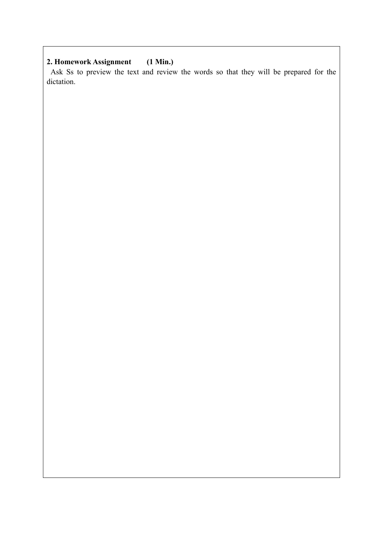## **2. Homework Assignment (1 Min.)**

 Ask Ss to preview the text and review the words so that they will be prepared for the dictation.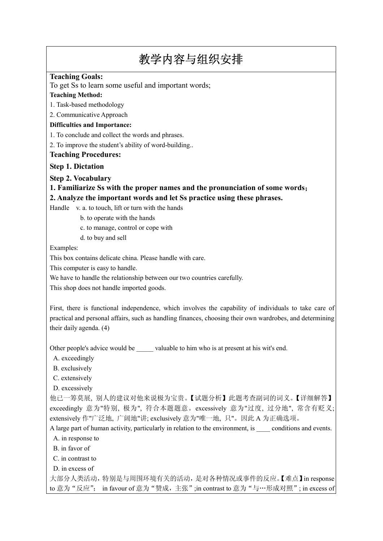# 教学内容与组织安排

#### **Teaching Goals:**

To get Ss to learn some useful and important words;

#### **Teaching Method:**

1. Task-based methodology

2. Communicative Approach

#### **Difficulties and Importance:**

1. To conclude and collect the words and phrases.

2. To improve the student's ability of word-building..

#### **Teaching Procedures:**

#### **Step 1. Dictation**

**Step 2. Vocabulary** 

**1. Familiarize Ss with the proper names and the pronunciation of some words**; **2. Analyze the important words and let Ss practice using these phrases.**

Handle v. a. to touch, lift or turn with the hands

b. to operate with the hands

c. to manage, control or cope with

d. to buy and sell

Examples:

This box contains delicate china. Please handle with care.

This computer is easy to handle.

We have to handle the relationship between our two countries carefully.

This shop does not handle imported goods.

First, there is functional independence, which involves the capability of individuals to take care of practical and personal affairs, such as handling finances, choosing their own wardrobes, and determining their daily agenda. (4)

Other people's advice would be valuable to him who is at present at his wit's end.

A. exceedingly

B. exclusively

C. extensively

D. excessively

他已一筹莫展, 别人的建议对他来说极为宝贵。【试题分析】此题考查副词的词义。【详细解答】 exceedingly 意为"特别, 极为", 符合本题题意。excessively 意为"过度, 过分地", 常含有贬义; extensively 作"广泛地, 广阔地"讲; exclusively 意为"唯一地, 只"。因此 A 为正确选项。

A large part of human activity, particularly in relation to the environment, is conditions and events.

- A. in response to
- B. in favor of
- C. in contrast to
- D. in excess of

大部分人类活动,特别是与周围环境有关的活动,是对各种情况或事件的反应。【难点】in response to 意为 "反应"; in favour of 意为 "赞成, 主张";in contrast to 意为 "与…形成对照"; in excess of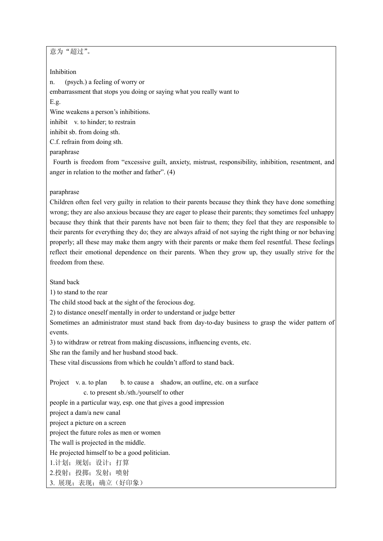意为"超过"。

Inhibition

n. (psych.) a feeling of worry or

embarrassment that stops you doing or saying what you really want to

#### E.g.

Wine weakens a person's inhibitions.

inhibit v. to hinder; to restrain

inhibit sb. from doing sth.

C.f. refrain from doing sth.

#### paraphrase

 Fourth is freedom from "excessive guilt, anxiety, mistrust, responsibility, inhibition, resentment, and anger in relation to the mother and father". (4)

#### paraphrase

Children often feel very guilty in relation to their parents because they think they have done something wrong; they are also anxious because they are eager to please their parents; they sometimes feel unhappy because they think that their parents have not been fair to them; they feel that they are responsible to their parents for everything they do; they are always afraid of not saying the right thing or nor behaving properly; all these may make them angry with their parents or make them feel resentful. These feelings reflect their emotional dependence on their parents. When they grow up, they usually strive for the freedom from these.

Stand back

1) to stand to the rear

The child stood back at the sight of the ferocious dog.

2) to distance oneself mentally in order to understand or judge better

Sometimes an administrator must stand back from day-to-day business to grasp the wider pattern of events.

3) to withdraw or retreat from making discussions, influencing events, etc.

She ran the family and her husband stood back.

These vital discussions from which he couldn't afford to stand back.

Project v. a. to plan b. to cause a shadow, an outline, etc. on a surface

#### c. to present sb./sth./yourself to other

people in a particular way, esp. one that gives a good impression

project a dam/a new canal

project a picture on a screen

project the future roles as men or women

The wall is projected in the middle.

He projected himself to be a good politician.

1.计划;规划;设计;打算

2.投射;投掷;发射;喷射

3. 展现;表现;确立(好印象)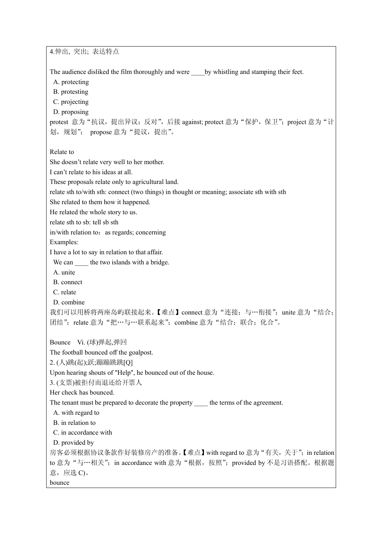4.伸出, 突出; 表达特点 The audience disliked the film thoroughly and were \_\_\_\_by whistling and stamping their feet. A. protecting B. protesting C. projecting D. proposing protest 意为"抗议,提出异议;反对",后接 against; protect 意为"保护, 保卫"; project 意为"计 划,规划"; propose 意为"提议,提出"。 Relate to She doesn't relate very well to her mother. I can't relate to his ideas at all. These proposals relate only to agricultural land. relate sth to/with sth: connect (two things) in thought or meaning; associate sth with sth She related to them how it happened. He related the whole story to us. relate sth to sb: tell sb sth in/with relation to: as regards; concerning Examples: I have a lot to say in relation to that affair. We can **the two islands with a bridge.**  A. unite B. connect C. relate D. combine 我们可以用桥将两座岛屿联接起来。【难点】connect 意为"连接;与…衔接";unite 意为"结合; 团结";relate 意为"把…与…联系起来";combine 意为"结合;联合;化合"。 Bounce Vi. (球)弹起,弹回 The football bounced off the goalpost. 2. (人)跳(起);跃;蹦蹦跳跳[Q] Upon hearing shouts of "Help", he bounced out of the house. 3. (支票)被拒付而退还给开票人 Her check has bounced. The tenant must be prepared to decorate the property the terms of the agreement. A. with regard to B. in relation to C. in accordance with D. provided by 房客必须根据协议条款作好装修房产的准备。【难点】with regard to 意为"有关, 关于"; in relation to 意为"与…相关"; in accordance with 意为"根据,按照"; provided by 不是习语搭配。根据题 意, 应选 C)。 bounce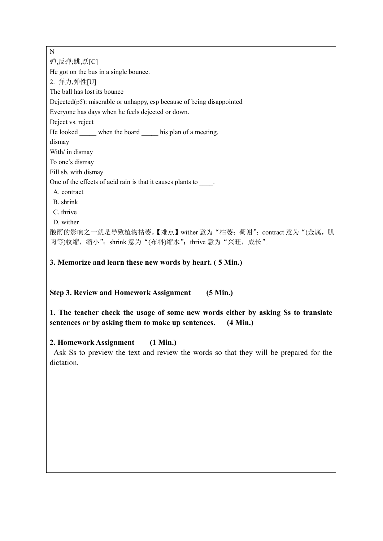N 弹,反弹;跳,跃[C] He got on the bus in a single bounce. 2. 弹力,弹性[U] The ball has lost its bounce Dejected(p5): miserable or unhappy, esp because of being disappointed Everyone has days when he feels dejected or down. Deject vs. reject He looked when the board his plan of a meeting. dismay With/ in dismay To one's dismay Fill sb. with dismay One of the effects of acid rain is that it causes plants to  $\qquad \qquad$ . A. contract B. shrink C. thrive D. wither 酸雨的影响之一就是导致植物枯萎。【难点】wither 意为"枯萎;凋谢";contract 意为"(金属, 肌 肉等)收缩,缩小";shrink 意为"(布料)缩水";thrive 意为"兴旺,成长"。

**3. Memorize and learn these new words by heart. ( 5 Min.)**

**Step 3. Review and Homework Assignment (5 Min.)**

**1. The teacher check the usage of some new words either by asking Ss to translate sentences or by asking them to make up sentences. (4 Min.)**

## **2. Homework Assignment (1 Min.)**

 Ask Ss to preview the text and review the words so that they will be prepared for the dictation.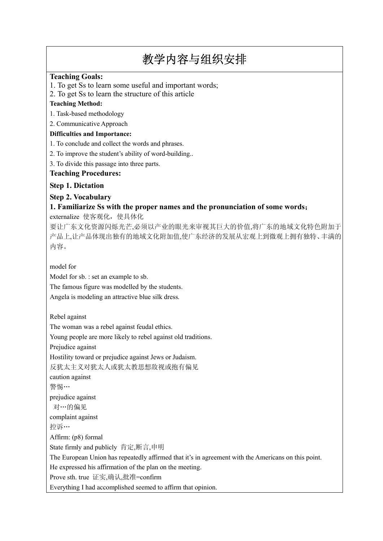## 教学内容与组织安排

### **Teaching Goals:**

1. To get Ss to learn some useful and important words;

2. To get Ss to learn the structure of this article

#### **Teaching Method:**

1. Task-based methodology

2. Communicative Approach

#### **Difficulties and Importance:**

1. To conclude and collect the words and phrases.

2. To improve the student's ability of word-building..

3. To divide this passage into three parts.

#### **Teaching Procedures:**

#### **Step 1. Dictation**

## **Step 2. Vocabulary**

## **1. Familiarize Ss with the proper names and the pronunciation of some words**;

externalize 使客观化, 使具体化

要让广东文化资源闪烁光芒,必须以产业的眼光来审视其巨大的价值,将广东的地域文化特色附加于 产品上,让产品体现出独有的地域文化附加值,使广东经济的发展从宏观上到微观上拥有独特、丰满的 内容。

model for

Model for sb. : set an example to sb.

The famous figure was modelled by the students.

Angela is modeling an attractive blue silk dress.

Rebel against

The woman was a rebel against feudal ethics.

Young people are more likely to rebel against old traditions.

Prejudice against

Hostility toward or prejudice against Jews or Judaism.

反犹太主义对犹太人或犹太教思想敌视或抱有偏见

caution against

警惕…

prejudice against

对…的偏见

complaint against

控诉…

Affirm: (p8) formal

State firmly and publicly 肯定,断言,申明

The European Union has repeatedly affirmed that it's in agreement with the Americans on this point.

He expressed his affirmation of the plan on the meeting.

Prove sth. true 证实,确认,批准=confirm

Everything I had accomplished seemed to affirm that opinion.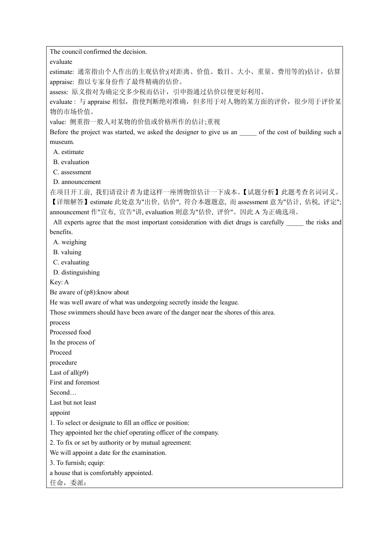The council confirmed the decision.

evaluate

estimate: 通常指由个人作出的主观估价;(对距离、价值、数目、大小、重量、费用等的)估计,估算 appraise: 指以专家身份作了最终精确的估价。

assess: 原义指对为确定交多少税而估计, 引申指通过估价以便更好利用。

evaluate: 与 appraise 相似, 指使判断绝对准确, 但多用于对人物的某方面的评价, 很少用于评价某 物的市场价值。

value: 侧重指一般人对某物的价值或价格所作的估计;重视

Before the project was started, we asked the designer to give us an  $\qquad$  of the cost of building such a museum.

A. estimate

B. evaluation

C. assessment

D. announcement

在项目开工前, 我们请设计者为建这样一座博物馆估计一下成本。【试题分析】此题考查名词词义。 【详细解答】estimate 此处意为"出价, 估价", 符合本题题意, 而 assessment 意为"估计, 估税, 评定"; announcement 作"宣布, 宣告"讲, evaluation 则意为"估价, 评价"。因此 A 为正确选项。

All experts agree that the most important consideration with diet drugs is carefully the risks and benefits.

A. weighing

- B. valuing
- C. evaluating

D. distinguishing

Key: A

Be aware of (p8):know about

He was well aware of what was undergoing secretly inside the league.

Those swimmers should have been aware of the danger near the shores of this area.

process

Processed food

In the process of

Proceed

procedure

Last of all(p9)

First and foremost

Second…

Last but not least

appoint

1. To select or designate to fill an office or position:

They appointed her the chief operating officer of the company.

2. To fix or set by authority or by mutual agreement:

We will appoint a date for the examination.

3. To furnish; equip:

a house that is comfortably appointed.

任命,委派: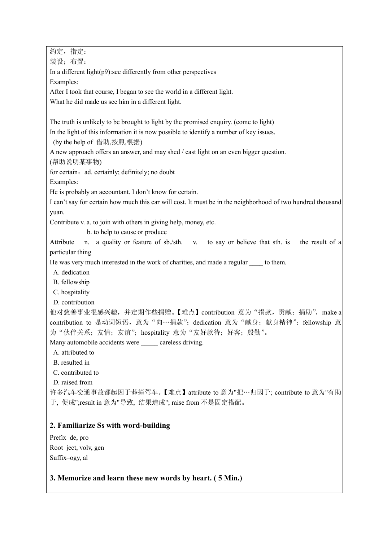约定,指定: 装设;布置: In a different light(p9):see differently from other perspectives Examples: After I took that course, I began to see the world in a different light. What he did made us see him in a different light. The truth is unlikely to be brought to light by the promised enquiry. (come to light) In the light of this information it is now possible to identify a number of key issues. (by the help of 借助,按照,根据) A new approach offers an answer, and may shed / cast light on an even bigger question. (帮助说明某事物) for certain: ad. certainly; definitely; no doubt Examples: He is probably an accountant. I don't know for certain. I can't say for certain how much this car will cost. It must be in the neighborhood of two hundred thousand yuan. Contribute v. a. to join with others in giving help, money, etc. b. to help to cause or produce Attribute n. a quality or feature of sb./sth. v. to say or believe that sth. is the result of a particular thing He was very much interested in the work of charities, and made a regular to them. A. dedication B. fellowship C. hospitality D. contribution 他对慈善事业很感兴趣,并定期作些捐赠。【难点】contribution 意为"捐款,贡献;捐助", make a contribution to 是动词短语, 意为"向…捐款"; dedication 意为"献身; 献身精神"; fellowship 意 为"伙伴关系;友情;友谊";hospitality 意为"友好款待;好客;殷勤"。 Many automobile accidents were \_\_\_\_\_ careless driving. A. attributed to B. resulted in C. contributed to D. raised from 许多汽车交通事故都起因于莽撞驾车。【难点】attribute to 意为"把…归因于; contribute to 意为"有助 于, 促成";result in 意为"导致, 结果造成"; raise from 不是固定搭配。 **2. Familiarize Ss with word-building** Prefix–de, pro Root–ject, volv, gen Suffix–ogy, al

## **3. Memorize and learn these new words by heart. ( 5 Min.)**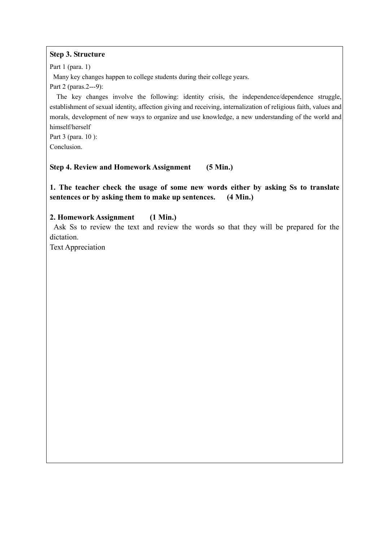#### **Step 3. Structure**

Part 1 (para. 1)

Many key changes happen to college students during their college years.

Part 2 (paras.2---9):

 The key changes involve the following: identity crisis, the independence/dependence struggle, establishment of sexual identity, affection giving and receiving, internalization of religious faith, values and morals, development of new ways to organize and use knowledge, a new understanding of the world and himself/herself

Part 3 (para. 10 ): Conclusion.

## **Step 4. Review and Homework Assignment (5 Min.)**

**1. The teacher check the usage of some new words either by asking Ss to translate sentences or by asking them to make up sentences. (4 Min.)**

## **2. Homework Assignment (1 Min.)**

 Ask Ss to review the text and review the words so that they will be prepared for the dictation.

Text Appreciation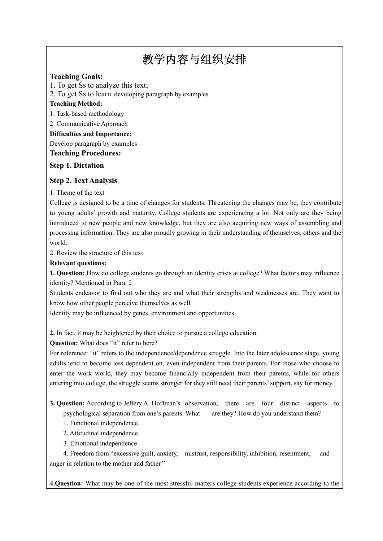## 教学内容与组织安排

#### **Teaching Goals:**

1. To get Ss to analyze this text;

2. To get Ss to learn developing paragraph by examples

#### **Teaching Method:**

1. Task-based methodology

2. Communicative Approach

**Difficulties and Importance:**

Develop paragraph by examples

#### **Teaching Procedures:**

#### **Step 1. Dictation**

#### **Step 2. Text Analysis**

1. Theme of the text

College is designed to be a time of changes for students. Threatening the changes may be, they contribute to young adults' growth and maturity. College students are experiencing a lot. Not only are they being introduced to new people and new knowledge, but they are also acquiring new ways of assembling and processing information. They are also proudly growing in their understanding of themselves, others and the world.

2. Review the structure of this text

#### **Relevant questions:**

**1. Question:** How do college students go through an identity crisis at college? What factors may influence identity? Mentioned in Para. 2

Students endeavor to find out who they are and what their strengths and weaknesses are. They want to know how other people perceive themselves as well.

Identity may be influenced by genes, environment and opportunities.

**2.** In fact, it may be heightened by their choice to pursue a college education.

**Question:** What does "it" refer to here?

For reference: "it" refers to the independence/dependence struggle. Into the later adolescence stage, young adults tend to become less dependent on, even independent from their parents. For those who choose to enter the work world, they may become financially independent from their parents, while for others entering into college, the struggle seems stronger for they still need their parents' support, say for money.

- **3. Question:** According to Jeffery A. Hoffman's observation, there are four distinct aspects to psychological separation from one's parents. What are they? How do you understand them?
	- 1. Functional independence.
	- 2. Attitudinal independence.
	- 3. Emotional independence.

4. Freedom from "excessive guilt, anxiety, mistrust, responsibility, inhibition, resentment, and anger in relation to the mother and father."

**4.Question:** What may be one of the most stressful matters college students experience according to the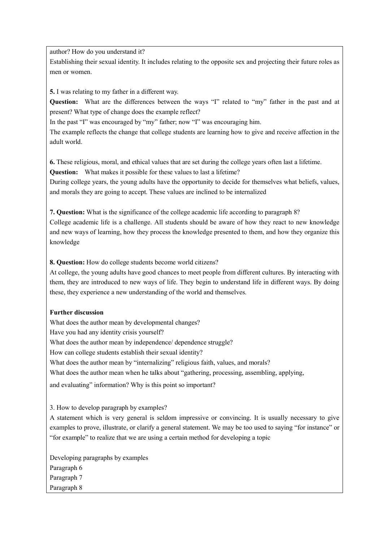author? How do you understand it?

Establishing their sexual identity. It includes relating to the opposite sex and projecting their future roles as men or women.

**5.** I was relating to my father in a different way.

**Question:** What are the differences between the ways "I" related to "my" father in the past and at present? What type of change does the example reflect?

In the past "I" was encouraged by "my" father; now "I" was encouraging him.

The example reflects the change that college students are learning how to give and receive affection in the adult world.

**6.** These religious, moral, and ethical values that are set during the college years often last a lifetime. **Question:** What makes it possible for these values to last a lifetime?

During college years, the young adults have the opportunity to decide for themselves what beliefs, values, and morals they are going to accept. These values are inclined to be internalized

**7. Question:** What is the significance of the college academic life according to paragraph 8? College academic life is a challenge. All students should be aware of how they react to new knowledge and new ways of learning, how they process the knowledge presented to them, and how they organize this knowledge

**8. Question:** How do college students become world citizens?

At college, the young adults have good chances to meet people from different cultures. By interacting with them, they are introduced to new ways of life. They begin to understand life in different ways. By doing these, they experience a new understanding of the world and themselves.

#### **Further discussion**

What does the author mean by developmental changes? Have you had any identity crisis yourself? What does the author mean by independence/ dependence struggle? How can college students establish their sexual identity? What does the author mean by "internalizing" religious faith, values, and morals? What does the author mean when he talks about "gathering, processing, assembling, applying, and evaluating" information? Why is this point so important?

3. How to develop paragraph by examples?

A statement which is very general is seldom impressive or convincing. It is usually necessary to give examples to prove, illustrate, or clarify a general statement. We may be too used to saying "for instance" or "for example" to realize that we are using a certain method for developing a topic

Developing paragraphs by examples Paragraph 6 Paragraph 7 Paragraph 8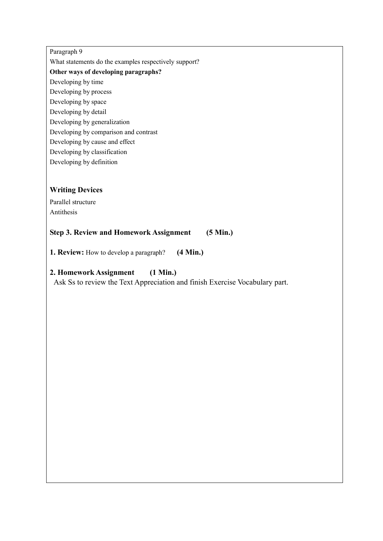#### Paragraph 9

What statements do the examples respectively support?

**Other ways of developing paragraphs?**

Developing by time

- Developing by process
- Developing by space
- Developing by detail
- Developing by generalization
- Developing by comparison and contrast
- Developing by cause and effect
- Developing by classification
- Developing by definition

## **Writing Devices**

Parallel structure Antithesis

## **Step 3. Review and Homework Assignment (5 Min.)**

**1. Review:** How to develop a paragraph? **(4 Min.)**

## **2. Homework Assignment (1 Min.)**

Ask Ss to review the Text Appreciation and finish Exercise Vocabulary part.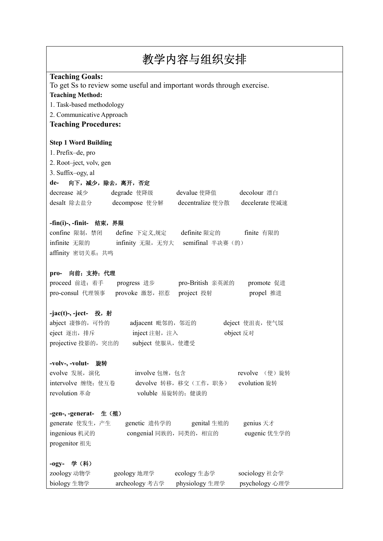| 教学内容与组织安排                                                                                                                                                                                                                      |                                 |  |  |  |  |  |
|--------------------------------------------------------------------------------------------------------------------------------------------------------------------------------------------------------------------------------|---------------------------------|--|--|--|--|--|
| <b>Teaching Goals:</b><br>To get Ss to review some useful and important words through exercise.<br><b>Teaching Method:</b><br>1. Task-based methodology<br>2. Communicative Approach<br><b>Teaching Procedures:</b>            |                                 |  |  |  |  |  |
| <b>Step 1 Word Building</b><br>1. Prefix-de, pro<br>2. Root-ject, volv, gen<br>3. Suffix-ogy, al<br>向下, 减少, 除去, 离开, 否定<br>de-<br>decrease 减少<br>degrade 使降级<br>devalue 使降值<br>desalt 除去盐分<br>decompose 使分解<br>decentralize 使分散 | decolour 漂白<br>decelerate 使减速   |  |  |  |  |  |
| -fin(i)-, -finit- 结束, 界限<br>definite 限定的<br>confine 限制, 禁闭<br>define 下定义,规定<br>finite 有限的<br>semifinal 半决赛(的)<br>infinite 无限的<br>infinity 无限,无穷大<br>affinity 密切关系;共鸣                                                           |                                 |  |  |  |  |  |
| 向前; 支持; 代理<br>pro-<br>proceed 前进;着手<br>pro-British 亲英派的<br>progress 进步<br>pro-consul 代理领事<br>provoke 激怒, 招惹<br>project 投射                                                                                                      | promote 促进<br>propel 推进         |  |  |  |  |  |
| -jac(t)-, -ject- 投, 射<br>abject 凄惨的, 可怜的<br>adjacent 毗邻的, 邻近的<br>deject 使沮丧, 使气馁<br>eject 逐出, 排斥<br>inject 注射, 注入<br>object 反对<br>projective 投影的, 突出的<br>subject 使服从, 使遭受                                                      |                                 |  |  |  |  |  |
| -volv-, -volut- 旋转<br>evolve 发展, 演化<br>involve 包缠, 包含<br>intervolve 缠绕; 使互卷<br>devolve 转移, 移交(工作, 职务)<br>revolution 革命<br>voluble 易旋转的;健谈的                                                                                     | revolve (使)旋转<br>evolution 旋转   |  |  |  |  |  |
| -gen-, -generat-<br>生(殖)<br>generate 使发生, 产生<br>genetic 遗传学的<br>genital 生殖的<br>ingenious 机灵的<br>congenial 同族的, 同类的, 相宜的<br>progenitor 祖先                                                                                       | genius 天才<br>eugenic 优生学的       |  |  |  |  |  |
| -ogy- 学 (科)<br>geology 地理学<br>zoology 动物学<br>ecology 生态学<br>biology 生物学<br>physiology 生理学<br>archeology 考古学                                                                                                                    | sociology 社会学<br>psychology 心理学 |  |  |  |  |  |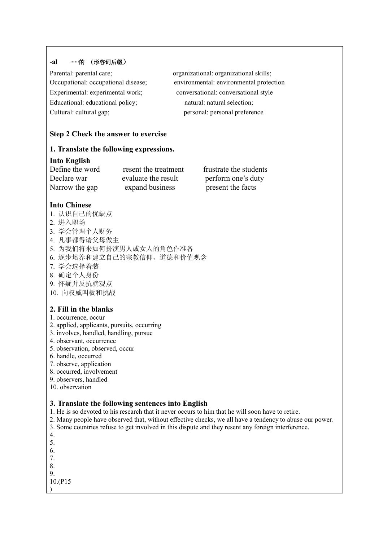#### **-al ······**的 (形容词后缀)

| Parental: parental care;            |
|-------------------------------------|
| Occupational: occupational disease; |
| Experimental: experimental work;    |
| Educational: educational policy;    |
| Cultural: cultural gap;             |

organizational: organizational skills; environmental: environmental protection conversational: conversational style natural: natural selection; personal: personal preference

#### **Step 2 Check the answer to exercise**

### **1. Translate the following expressions.**

#### **Into English**

| Define the word | resent the treatment | frustrate the students |
|-----------------|----------------------|------------------------|
| Declare war     | evaluate the result  | perform one's duty     |
| Narrow the gap  | expand business      | present the facts      |

#### **Into Chinese**

- 1. 认识自己的优缺点
- 2. 进入职场
- 3. 学会管理个人财务
- 4. 凡事都得请父母做主
- 5. 为我们将来如何扮演男人或女人的角色作准备
- 6. 逐步培养和建立自己的宗教信仰、道德和价值观念
- 7. 学会选择着装
- 8. 确定个人身份
- 9. 怀疑并反抗就观点
- 10. 向权威叫板和挑战

## **2. Fill in the blanks**

- 1. occurrence, occur
- 2. applied, applicants, pursuits, occurring
- 3. involves, handled, handling, pursue
- 4. observant, occurrence
- 5. observation, observed, occur
- 6. handle, occurred
- 7. observe, application
- 8. occurred, involvement
- 9. observers, handled
- 10. observation

#### **3. Translate the following sentences into English**

- 1. He is so devoted to his research that it never occurs to him that he will soon have to retire.
- 2. Many people have observed that, without effective checks, we all have a tendency to abuse our power.
- 3. Some countries refuse to get involved in this dispute and they resent any foreign interference.
- 4.
- 5. 6.
- 7.
- 8. 9.

10.(P15 )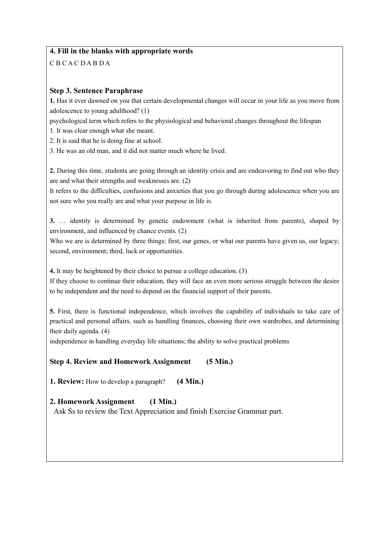## **4. Fill in the blanks with appropriate words**

C B C A C D A B D A

## **Step 3. Sentence Paraphrase**

**1.** Has it ever dawned on you that certain developmental changes will occur in your life as you move from adolescence to young adulthood? (1)

psychological term which refers to the physiological and behavioral changes throughout the lifespan

1. It was clear enough what she meant.

2. It is said that he is doing fine at school.

3. He was an old man, and it did not matter much where he lived.

**2.** During this time, students are going through an identity crisis and are endeavoring to find out who they are and what their strengths and weaknesses are. (2)

It refers to the difficulties, confusions and anxieties that you go through during adolescence when you are not sure who you really are and what your purpose in life is.

**3.** … identity is determined by genetic endowment (what is inherited from parents), shaped by environment, and influenced by chance events. (2)

Who we are is determined by three things: first, our genes, or what our parents have given us, our legacy; second, environment; third, luck or opportunities.

**4.** It may be heightened by their choice to pursue a college education. (3)

If they choose to continue their education, they will face an even more serious struggle between the desire to be independent and the need to depend on the financial support of their parents.

**5.** First, there is functional independence, which involves the capability of individuals to take care of practical and personal affairs, such as handling finances, choosing their own wardrobes, and determining their daily agenda. (4)

independence in handling everyday life situations; the ability to solve practical problems

## **Step 4. Review and Homework Assignment (5 Min.)**

**1. Review:** How to develop a paragraph? **(4 Min.)**

**2. Homework Assignment (1 Min.)**

Ask Ss to review the Text Appreciation and finish Exercise Grammar part.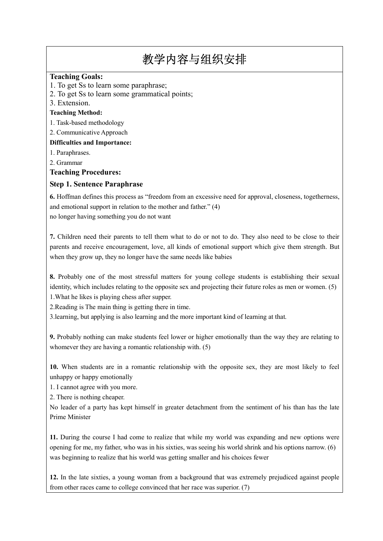## 教学内容与组织安排

#### **Teaching Goals:**

- 1. To get Ss to learn some paraphrase;
- 2. To get Ss to learn some grammatical points;
- 3. Extension.

#### **Teaching Method:**

- 1. Task-based methodology
- 2. Communicative Approach

#### **Difficulties and Importance:**

- 1. Paraphrases.
- 2. Grammar

## **Teaching Procedures:**

## **Step 1. Sentence Paraphrase**

**6.** Hoffman defines this process as "freedom from an excessive need for approval, closeness, togetherness, and emotional support in relation to the mother and father." (4) no longer having something you do not want

**7.** Children need their parents to tell them what to do or not to do. They also need to be close to their parents and receive encouragement, love, all kinds of emotional support which give them strength. But when they grow up, they no longer have the same needs like babies

**8.** Probably one of the most stressful matters for young college students is establishing their sexual identity, which includes relating to the opposite sex and projecting their future roles as men or women. (5) 1.What he likes is playing chess after supper.

2.Reading is The main thing is getting there in time.

3.learning, but applying is also learning and the more important kind of learning at that.

**9.** Probably nothing can make students feel lower or higher emotionally than the way they are relating to whomever they are having a romantic relationship with. (5)

**10.** When students are in a romantic relationship with the opposite sex, they are most likely to feel unhappy or happy emotionally

1. I cannot agree with you more.

2. There is nothing cheaper.

No leader of a party has kept himself in greater detachment from the sentiment of his than has the late Prime Minister

**11.** During the course I had come to realize that while my world was expanding and new options were opening for me, my father, who was in his sixties, was seeing his world shrink and his options narrow. (6) was beginning to realize that his world was getting smaller and his choices fewer

**12.** In the late sixties, a young woman from a background that was extremely prejudiced against people from other races came to college convinced that her race was superior. (7)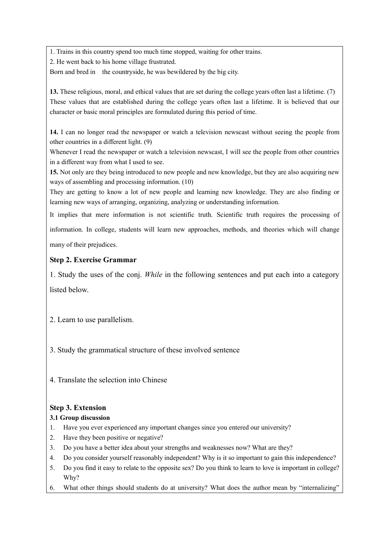1. Trains in this country spend too much time stopped, waiting for other trains.

2. He went back to his home village frustrated.

Born and bred in the countryside, he was bewildered by the big city.

**13.** These religious, moral, and ethical values that are set during the college years often last a lifetime. (7) These values that are established during the college years often last a lifetime. It is believed that our character or basic moral principles are formulated during this period of time.

**14.** I can no longer read the newspaper or watch a television newscast without seeing the people from other countries in a different light. (9)

Whenever I read the newspaper or watch a television newscast, I will see the people from other countries in a different way from what I used to see.

**15.** Not only are they being introduced to new people and new knowledge, but they are also acquiring new ways of assembling and processing information. (10)

They are getting to know a lot of new people and learning new knowledge. They are also finding or learning new ways of arranging, organizing, analyzing or understanding information.

It implies that mere information is not scientific truth. Scientific truth requires the processing of

information. In college, students will learn new approaches, methods, and theories which will change

many of their prejudices.

## **Step 2. Exercise Grammar**

1. Study the uses of the conj. *While* in the following sentences and put each into a category listed below.

- 2. Learn to use parallelism.
- 3. Study the grammatical structure of these involved sentence
- 4. Translate the selection into Chinese

## **Step 3. Extension**

## **3.1 Group discussion**

- 1. Have you ever experienced any important changes since you entered our university?
- 2. Have they been positive or negative?
- 3. Do you have a better idea about your strengths and weaknesses now? What are they?
- 4. Do you consider yourself reasonably independent? Why is it so important to gain this independence?
- 5. Do you find it easy to relate to the opposite sex? Do you think to learn to love is important in college? Why?
- 6. What other things should students do at university? What does the author mean by "internalizing"